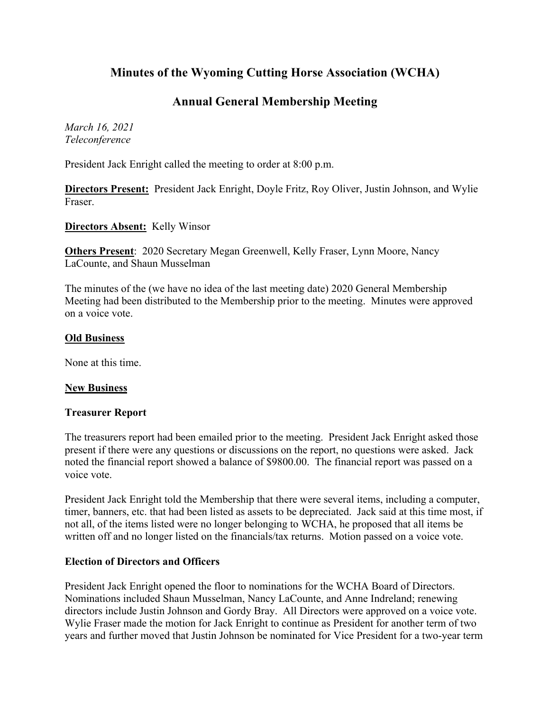# **Minutes of the Wyoming Cutting Horse Association (WCHA)**

## **Annual General Membership Meeting**

*March 16, 2021 Teleconference*

President Jack Enright called the meeting to order at 8:00 p.m.

**Directors Present:** President Jack Enright, Doyle Fritz, Roy Oliver, Justin Johnson, and Wylie Fraser.

**Directors Absent:** Kelly Winsor

**Others Present**: 2020 Secretary Megan Greenwell, Kelly Fraser, Lynn Moore, Nancy LaCounte, and Shaun Musselman

The minutes of the (we have no idea of the last meeting date) 2020 General Membership Meeting had been distributed to the Membership prior to the meeting. Minutes were approved on a voice vote.

#### **Old Business**

None at this time.

## **New Business**

#### **Treasurer Report**

The treasurers report had been emailed prior to the meeting. President Jack Enright asked those present if there were any questions or discussions on the report, no questions were asked. Jack noted the financial report showed a balance of \$9800.00. The financial report was passed on a voice vote.

President Jack Enright told the Membership that there were several items, including a computer, timer, banners, etc. that had been listed as assets to be depreciated. Jack said at this time most, if not all, of the items listed were no longer belonging to WCHA, he proposed that all items be written off and no longer listed on the financials/tax returns. Motion passed on a voice vote.

## **Election of Directors and Officers**

President Jack Enright opened the floor to nominations for the WCHA Board of Directors. Nominations included Shaun Musselman, Nancy LaCounte, and Anne Indreland; renewing directors include Justin Johnson and Gordy Bray. All Directors were approved on a voice vote. Wylie Fraser made the motion for Jack Enright to continue as President for another term of two years and further moved that Justin Johnson be nominated for Vice President for a two-year term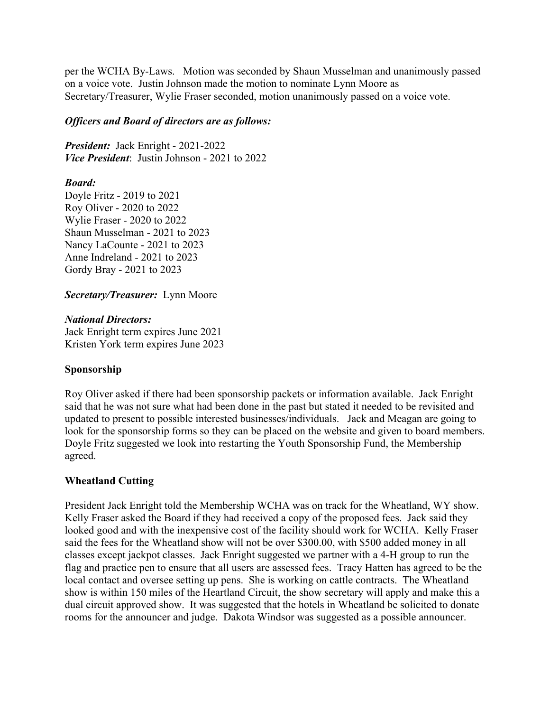per the WCHA By-Laws. Motion was seconded by Shaun Musselman and unanimously passed on a voice vote. Justin Johnson made the motion to nominate Lynn Moore as Secretary/Treasurer, Wylie Fraser seconded, motion unanimously passed on a voice vote.

#### *Officers and Board of directors are as follows:*

*President:* Jack Enright - 2021-2022 *Vice President*: Justin Johnson - 2021 to 2022

#### *Board:*

Doyle Fritz - 2019 to 2021 Roy Oliver - 2020 to 2022 Wylie Fraser - 2020 to 2022 Shaun Musselman - 2021 to 2023 Nancy LaCounte - 2021 to 2023 Anne Indreland - 2021 to 2023 Gordy Bray - 2021 to 2023

*Secretary/Treasurer:* Lynn Moore

#### *National Directors:*

Jack Enright term expires June 2021 Kristen York term expires June 2023

## **Sponsorship**

Roy Oliver asked if there had been sponsorship packets or information available. Jack Enright said that he was not sure what had been done in the past but stated it needed to be revisited and updated to present to possible interested businesses/individuals. Jack and Meagan are going to look for the sponsorship forms so they can be placed on the website and given to board members. Doyle Fritz suggested we look into restarting the Youth Sponsorship Fund, the Membership agreed.

## **Wheatland Cutting**

President Jack Enright told the Membership WCHA was on track for the Wheatland, WY show. Kelly Fraser asked the Board if they had received a copy of the proposed fees. Jack said they looked good and with the inexpensive cost of the facility should work for WCHA. Kelly Fraser said the fees for the Wheatland show will not be over \$300.00, with \$500 added money in all classes except jackpot classes. Jack Enright suggested we partner with a 4-H group to run the flag and practice pen to ensure that all users are assessed fees. Tracy Hatten has agreed to be the local contact and oversee setting up pens. She is working on cattle contracts. The Wheatland show is within 150 miles of the Heartland Circuit, the show secretary will apply and make this a dual circuit approved show. It was suggested that the hotels in Wheatland be solicited to donate rooms for the announcer and judge. Dakota Windsor was suggested as a possible announcer.